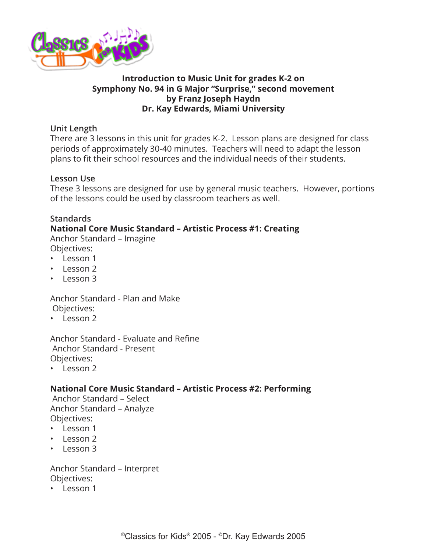

# **Introduction to Music Unit for grades K-2 on Symphony No. 94 in G Major "Surprise," second movement by Franz Joseph Haydn Dr. Kay Edwards, Miami University**

### **Unit Length**

There are 3 lessons in this unit for grades K-2. Lesson plans are designed for class periods of approximately 30-40 minutes. Teachers will need to adapt the lesson plans to fit their school resources and the individual needs of their students.

### **Lesson Use**

These 3 lessons are designed for use by general music teachers. However, portions of the lessons could be used by classroom teachers as well.

# **Standards**

# **National Core Music Standard – Artistic Process #1: Creating**

Anchor Standard – Imagine Objectives:

- Lesson 1
- Lesson 2
- Lesson 3

# Anchor Standard - Plan and Make

- Objectives:
- Lesson 2

Anchor Standard - Evaluate and Refine Anchor Standard - Present Objectives:

• Lesson 2

# **National Core Music Standard – Artistic Process #2: Performing**

 Anchor Standard – Select Anchor Standard – Analyze Objectives:

- Lesson 1
- Lesson 2
- Lesson 3

Anchor Standard – Interpret Objectives:

• Lesson 1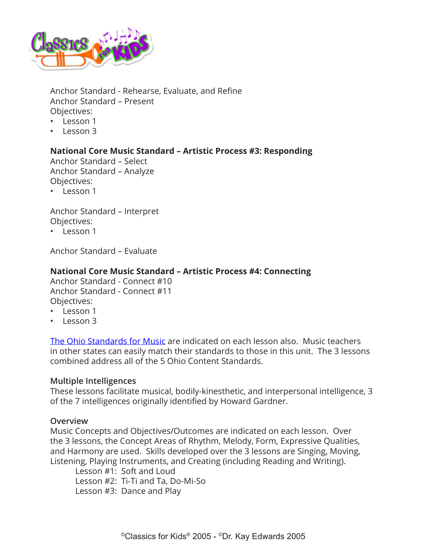

Anchor Standard - Rehearse, Evaluate, and Refine Anchor Standard – Present Objectives:

- Lesson 1
- Lesson 3

# **National Core Music Standard – Artistic Process #3: Responding**

Anchor Standard – Select Anchor Standard – Analyze Objectives:

• Lesson 1

Anchor Standard – Interpret Objectives:

• Lesson 1

Anchor Standard – Evaluate

### **National Core Music Standard – Artistic Process #4: Connecting**

Anchor Standard - Connect #10 Anchor Standard - Connect #11 Objectives:

- Lesson 1
- Lesson 3

[The Ohio Standards for Music](http://education.ohio.gov/Topics/Learning-in-Ohio/Fine-Arts) are indicated on each lesson also. Music teachers in other states can easily match their standards to those in this unit. The 3 lessons combined address all of the 5 Ohio Content Standards.

### **Multiple Intelligences**

These lessons facilitate musical, bodily-kinesthetic, and interpersonal intelligence, 3 of the 7 intelligences originally identified by Howard Gardner.

### **Overview**

Music Concepts and Objectives/Outcomes are indicated on each lesson. Over the 3 lessons, the Concept Areas of Rhythm, Melody, Form, Expressive Qualities, and Harmony are used. Skills developed over the 3 lessons are Singing, Moving, Listening, Playing Instruments, and Creating (including Reading and Writing).

Lesson #1: Soft and Loud Lesson #2: Ti-Ti and Ta, Do-Mi-So Lesson #3: Dance and Play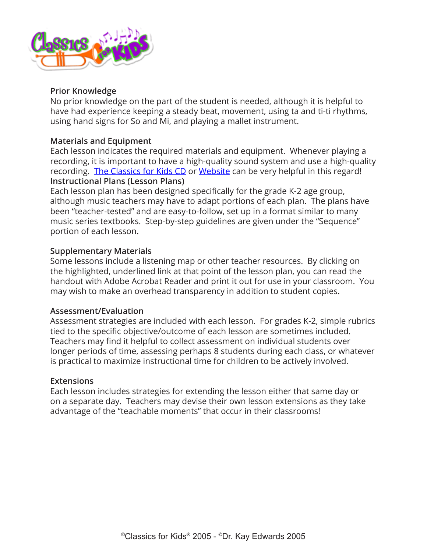

### **Prior Knowledge**

No prior knowledge on the part of the student is needed, although it is helpful to have had experience keeping a steady beat, movement, using ta and ti-ti rhythms, using hand signs for So and Mi, and playing a mallet instrument.

### **Materials and Equipment**

Each lesson indicates the required materials and equipment. Whenever playing a recording, it is important to have a high-quality sound system and use a high-quality recording. [The Classics for Kids CD](https://secure2.convio.net/cpr/site/Ecommerce/390168608?VIEW_PRODUCT=true&product_id=1080&store_id=1101) or [Website](http://classicsforkids.com) can be very helpful in this regard! **Instructional Plans (Lesson Plans)**

Each lesson plan has been designed specifically for the grade K-2 age group, although music teachers may have to adapt portions of each plan. The plans have been "teacher-tested" and are easy-to-follow, set up in a format similar to many music series textbooks. Step-by-step guidelines are given under the "Sequence" portion of each lesson.

### **Supplementary Materials**

Some lessons include a listening map or other teacher resources. By clicking on the highlighted, underlined link at that point of the lesson plan, you can read the handout with Adobe Acrobat Reader and print it out for use in your classroom. You may wish to make an overhead transparency in addition to student copies.

### **Assessment/Evaluation**

Assessment strategies are included with each lesson. For grades K-2, simple rubrics tied to the specific objective/outcome of each lesson are sometimes included. Teachers may find it helpful to collect assessment on individual students over longer periods of time, assessing perhaps 8 students during each class, or whatever is practical to maximize instructional time for children to be actively involved.

### **Extensions**

Each lesson includes strategies for extending the lesson either that same day or on a separate day. Teachers may devise their own lesson extensions as they take advantage of the "teachable moments" that occur in their classrooms!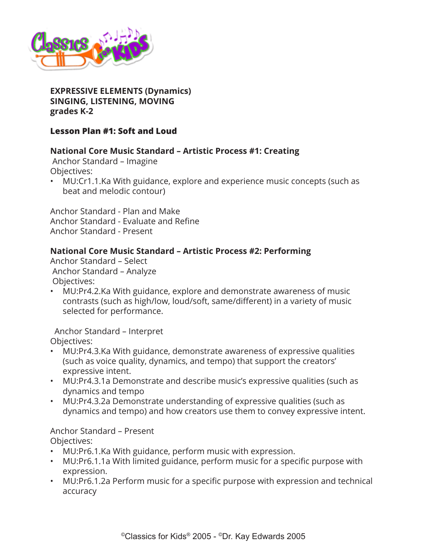

**EXPRESSIVE ELEMENTS (Dynamics) SINGING, LISTENING, MOVING grades K-2**

# **Lesson Plan #1: Soft and Loud**

# **National Core Music Standard – Artistic Process #1: Creating**

 Anchor Standard – Imagine Objectives:

• MU:Cr1.1.Ka With guidance, explore and experience music concepts (such as beat and melodic contour)

Anchor Standard - Plan and Make Anchor Standard - Evaluate and Refine Anchor Standard - Present

### **National Core Music Standard – Artistic Process #2: Performing**

Anchor Standard – Select Anchor Standard – Analyze Objectives:

• MU:Pr4.2.Ka With guidance, explore and demonstrate awareness of music contrasts (such as high/low, loud/soft, same/different) in a variety of music selected for performance.

 Anchor Standard – Interpret Objectives:

- MU:Pr4.3.Ka With guidance, demonstrate awareness of expressive qualities (such as voice quality, dynamics, and tempo) that support the creators' expressive intent.
- MU:Pr4.3.1a Demonstrate and describe music's expressive qualities (such as dynamics and tempo
- MU:Pr4.3.2a Demonstrate understanding of expressive qualities (such as dynamics and tempo) and how creators use them to convey expressive intent.

Anchor Standard – Present

Objectives:

- MU:Pr6.1.Ka With guidance, perform music with expression.
- MU:Pr6.1.1a With limited guidance, perform music for a specific purpose with expression.
- MU:Pr6.1.2a Perform music for a specific purpose with expression and technical accuracy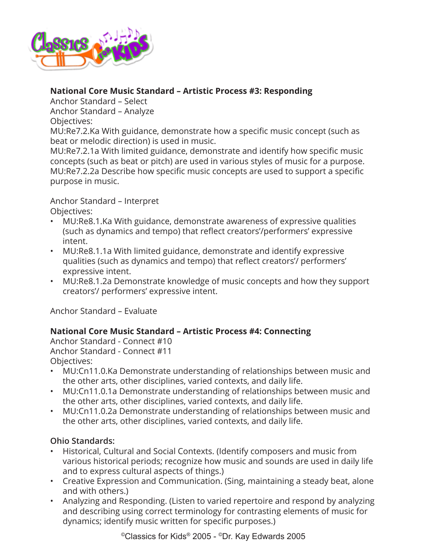

# **National Core Music Standard – Artistic Process #3: Responding**

Anchor Standard – Select

Anchor Standard – Analyze

# Objectives:

MU:Re7.2.Ka With guidance, demonstrate how a specific music concept (such as beat or melodic direction) is used in music.

MU:Re7.2.1a With limited guidance, demonstrate and identify how specific music concepts (such as beat or pitch) are used in various styles of music for a purpose. MU:Re7.2.2a Describe how specific music concepts are used to support a specific purpose in music.

Anchor Standard – Interpret

Objectives:

- MU:Re8.1.Ka With guidance, demonstrate awareness of expressive qualities (such as dynamics and tempo) that reflect creators'/performers' expressive intent.
- MU:Re8.1.1a With limited guidance, demonstrate and identify expressive qualities (such as dynamics and tempo) that reflect creators'/ performers' expressive intent.
- MU:Re8.1.2a Demonstrate knowledge of music concepts and how they support creators'/ performers' expressive intent.

Anchor Standard – Evaluate

# **National Core Music Standard – Artistic Process #4: Connecting**

Anchor Standard - Connect #10 Anchor Standard - Connect #11 Objectives:

- MU:Cn11.0.Ka Demonstrate understanding of relationships between music and the other arts, other disciplines, varied contexts, and daily life.
- MU:Cn11.0.1a Demonstrate understanding of relationships between music and the other arts, other disciplines, varied contexts, and daily life.
- MU:Cn11.0.2a Demonstrate understanding of relationships between music and the other arts, other disciplines, varied contexts, and daily life.

# **Ohio Standards:**

- Historical, Cultural and Social Contexts. (Identify composers and music from various historical periods; recognize how music and sounds are used in daily life and to express cultural aspects of things.)
- Creative Expression and Communication. (Sing, maintaining a steady beat, alone and with others.)
- Analyzing and Responding. (Listen to varied repertoire and respond by analyzing and describing using correct terminology for contrasting elements of music for dynamics; identify music written for specific purposes.)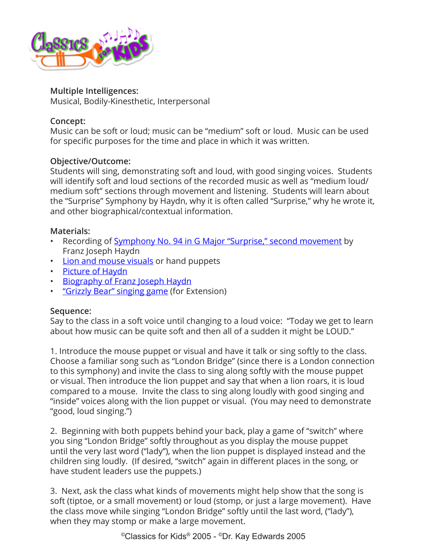

### **Multiple Intelligences:**

Musical, Bodily-Kinesthetic, Interpersonal

# **Concept:**

Music can be soft or loud; music can be "medium" soft or loud. Music can be used for specific purposes for the time and place in which it was written.

# **Objective/Outcome:**

Students will sing, demonstrating soft and loud, with good singing voices. Students will identify soft and loud sections of the recorded music as well as "medium loud/ medium soft" sections through movement and listening. Students will learn about the "Surprise" Symphony by Haydn, why it is often called "Surprise," why he wrote it, and other biographical/contextual information.

# **Materials:**

- Recording of [Symphony No. 94 in G Major "Surprise," second movement](http://www.classicsforkids.com/composers/composer_profile.php?id=36) by Franz Joseph Haydn
- [Lion and mouse visuals](http://www.classicsforkids.com/downloads/haydn/LionandMousevisuals.pdf) or hand puppets
- [Picture of Haydn](http://www.classicsforkids.com/composers/composer_profile.php?id=36)
- [Biography of Franz Joseph Haydn](http://www.classicsforkids.com/composers/composer_profile.php?id=36)
- ["Grizzly Bear" singing game](http://www.classicsforkids.com/downloads/haydn/grizzlybear.pdf) (for Extension)

# **Sequence:**

Say to the class in a soft voice until changing to a loud voice: "Today we get to learn about how music can be quite soft and then all of a sudden it might be LOUD."

1. Introduce the mouse puppet or visual and have it talk or sing softly to the class. Choose a familiar song such as "London Bridge" (since there is a London connection to this symphony) and invite the class to sing along softly with the mouse puppet or visual. Then introduce the lion puppet and say that when a lion roars, it is loud compared to a mouse. Invite the class to sing along loudly with good singing and "inside" voices along with the lion puppet or visual. (You may need to demonstrate "good, loud singing.")

2. Beginning with both puppets behind your back, play a game of "switch" where you sing "London Bridge" softly throughout as you display the mouse puppet until the very last word ("lady"), when the lion puppet is displayed instead and the children sing loudly. (If desired, "switch" again in different places in the song, or have student leaders use the puppets.)

3. Next, ask the class what kinds of movements might help show that the song is soft (tiptoe, or a small movement) or loud (stomp, or just a large movement). Have the class move while singing "London Bridge" softly until the last word, ("lady"), when they may stomp or make a large movement.

©Classics for Kids® 2005 - ©Dr. Kay Edwards 2005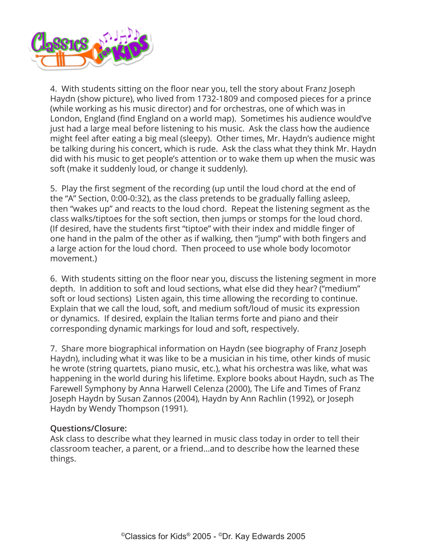

4. With students sitting on the floor near you, tell the story about Franz Joseph Haydn (show picture), who lived from 1732-1809 and composed pieces for a prince (while working as his music director) and for orchestras, one of which was in London, England (find England on a world map). Sometimes his audience would've just had a large meal before listening to his music. Ask the class how the audience might feel after eating a big meal (sleepy). Other times, Mr. Haydn's audience might be talking during his concert, which is rude. Ask the class what they think Mr. Haydn did with his music to get people's attention or to wake them up when the music was soft (make it suddenly loud, or change it suddenly).

5. Play the first segment of the recording (up until the loud chord at the end of the "A" Section, 0:00-0:32), as the class pretends to be gradually falling asleep, then "wakes up" and reacts to the loud chord. Repeat the listening segment as the class walks/tiptoes for the soft section, then jumps or stomps for the loud chord. (If desired, have the students first "tiptoe" with their index and middle finger of one hand in the palm of the other as if walking, then "jump" with both fingers and a large action for the loud chord. Then proceed to use whole body locomotor movement.)

6. With students sitting on the floor near you, discuss the listening segment in more depth. In addition to soft and loud sections, what else did they hear? ("medium" soft or loud sections) Listen again, this time allowing the recording to continue. Explain that we call the loud, soft, and medium soft/loud of music its expression or dynamics. If desired, explain the Italian terms forte and piano and their corresponding dynamic markings for loud and soft, respectively.

7. Share more biographical information on Haydn (see biography of Franz Joseph Haydn), including what it was like to be a musician in his time, other kinds of music he wrote (string quartets, piano music, etc.), what his orchestra was like, what was happening in the world during his lifetime. Explore books about Haydn, such as The Farewell Symphony by Anna Harwell Celenza (2000), The Life and Times of Franz Joseph Haydn by Susan Zannos (2004), Haydn by Ann Rachlin (1992), or Joseph Haydn by Wendy Thompson (1991).

### **Questions/Closure:**

Ask class to describe what they learned in music class today in order to tell their classroom teacher, a parent, or a friend…and to describe how the learned these things.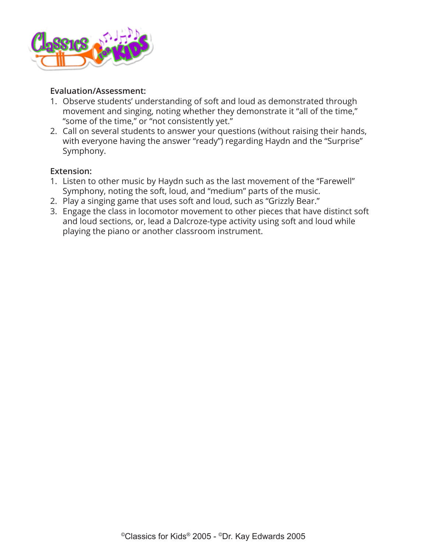

# **Evaluation/Assessment:**

- 1. Observe students' understanding of soft and loud as demonstrated through movement and singing, noting whether they demonstrate it "all of the time," "some of the time," or "not consistently yet."
- 2. Call on several students to answer your questions (without raising their hands, with everyone having the answer "ready") regarding Haydn and the "Surprise" Symphony.

# **Extension:**

- 1. Listen to other music by Haydn such as the last movement of the "Farewell" Symphony, noting the soft, loud, and "medium" parts of the music.
- 2. Play a singing game that uses soft and loud, such as "Grizzly Bear."
- 3. Engage the class in locomotor movement to other pieces that have distinct soft and loud sections, or, lead a Dalcroze-type activity using soft and loud while playing the piano or another classroom instrument.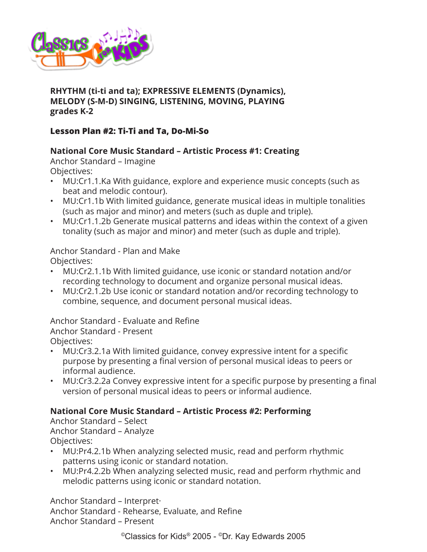

# **RHYTHM (ti-ti and ta); EXPRESSIVE ELEMENTS (Dynamics), MELODY (S-M-D) SINGING, LISTENING, MOVING, PLAYING grades K-2**

# **Lesson Plan #2: Ti-Ti and Ta, Do-Mi-So**

# **National Core Music Standard – Artistic Process #1: Creating**

Anchor Standard – Imagine Objectives:

- MU:Cr1.1.Ka With guidance, explore and experience music concepts (such as beat and melodic contour).
- MU:Cr1.1b With limited guidance, generate musical ideas in multiple tonalities (such as major and minor) and meters (such as duple and triple).
- MU:Cr1.1.2b Generate musical patterns and ideas within the context of a given tonality (such as major and minor) and meter (such as duple and triple).

Anchor Standard - Plan and Make Objectives:

- MU:Cr2.1.1b With limited guidance, use iconic or standard notation and/or recording technology to document and organize personal musical ideas.
- MU:Cr2.1.2b Use iconic or standard notation and/or recording technology to combine, sequence, and document personal musical ideas.

Anchor Standard - Evaluate and Refine Anchor Standard - Present

Objectives:

- MU:Cr3.2.1a With limited guidance, convey expressive intent for a specific purpose by presenting a final version of personal musical ideas to peers or informal audience.
- MU:Cr3.2.2a Convey expressive intent for a specific purpose by presenting a final version of personal musical ideas to peers or informal audience.

# **National Core Music Standard – Artistic Process #2: Performing**

Anchor Standard – Select Anchor Standard – Analyze Objectives:

- MU:Pr4.2.1b When analyzing selected music, read and perform rhythmic patterns using iconic or standard notation.
- MU:Pr4.2.2b When analyzing selected music, read and perform rhythmic and melodic patterns using iconic or standard notation.

Anchor Standard – Interpret· Anchor Standard - Rehearse, Evaluate, and Refine Anchor Standard – Present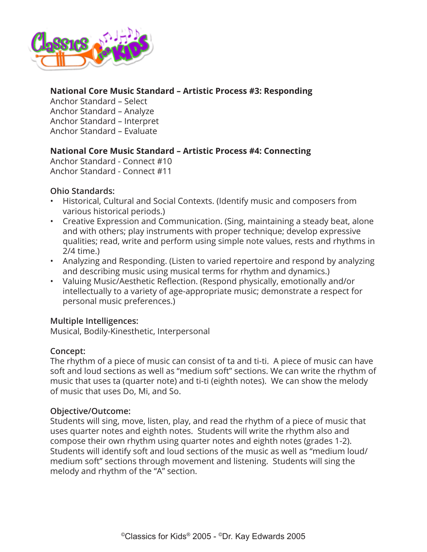

# **National Core Music Standard – Artistic Process #3: Responding**

Anchor Standard – Select Anchor Standard – Analyze Anchor Standard – Interpret Anchor Standard – Evaluate

# **National Core Music Standard – Artistic Process #4: Connecting**

Anchor Standard - Connect #10 Anchor Standard - Connect #11

# **Ohio Standards:**

- Historical, Cultural and Social Contexts. (Identify music and composers from various historical periods.)
- Creative Expression and Communication. (Sing, maintaining a steady beat, alone and with others; play instruments with proper technique; develop expressive qualities; read, write and perform using simple note values, rests and rhythms in 2/4 time.)
- Analyzing and Responding. (Listen to varied repertoire and respond by analyzing and describing music using musical terms for rhythm and dynamics.)
- Valuing Music/Aesthetic Reflection. (Respond physically, emotionally and/or intellectually to a variety of age-appropriate music; demonstrate a respect for personal music preferences.)

# **Multiple Intelligences:**

Musical, Bodily-Kinesthetic, Interpersonal

# **Concept:**

The rhythm of a piece of music can consist of ta and ti-ti. A piece of music can have soft and loud sections as well as "medium soft" sections. We can write the rhythm of music that uses ta (quarter note) and ti-ti (eighth notes). We can show the melody of music that uses Do, Mi, and So.

### **Objective/Outcome:**

Students will sing, move, listen, play, and read the rhythm of a piece of music that uses quarter notes and eighth notes. Students will write the rhythm also and compose their own rhythm using quarter notes and eighth notes (grades 1-2). Students will identify soft and loud sections of the music as well as "medium loud/ medium soft" sections through movement and listening. Students will sing the melody and rhythm of the "A" section.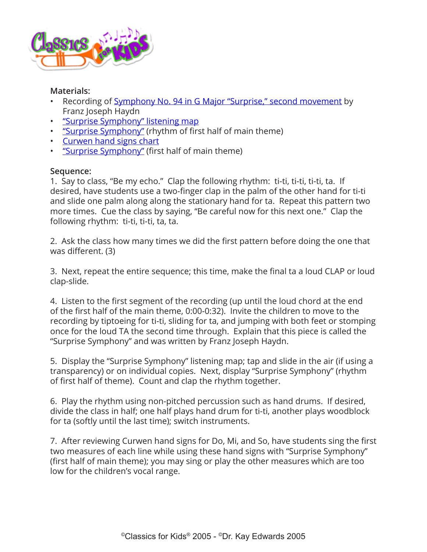

### **Materials:**

- Recording of [Symphony No. 94 in G Major "Surprise," second movement](http://www.classicsforkids.com/composers/composer_profile.php?id=36) by Franz Joseph Haydn
- ["Surprise Symphony" listening map](http://www.classicsforkids.com/downloads/haydn/HaydnSurpriseFootprintsK-2.pdf)
- ["Surprise Symphony"](http://www.classicsforkids.com/downloads/haydn/SurpriseSymphnotextRthm.pdf) (rhythm of first half of main theme)
- [Curwen hand signs chart](http://www.classicsforkids.com/downloads/kodaly/KodalyHandSigns.pdf)
- ["Surprise Symphony"](http://www.classicsforkids.com/downloads/haydn/SurpriseSymphHaydnK-2inC.pdf) (first half of main theme)

### **Sequence:**

1. Say to class, "Be my echo." Clap the following rhythm: ti-ti, ti-ti, ti-ti, ta. If desired, have students use a two-finger clap in the palm of the other hand for ti-ti and slide one palm along along the stationary hand for ta. Repeat this pattern two more times. Cue the class by saying, "Be careful now for this next one." Clap the following rhythm: ti-ti, ti-ti, ta, ta.

2. Ask the class how many times we did the first pattern before doing the one that was different. (3)

3. Next, repeat the entire sequence; this time, make the final ta a loud CLAP or loud clap-slide.

4. Listen to the first segment of the recording (up until the loud chord at the end of the first half of the main theme, 0:00-0:32). Invite the children to move to the recording by tiptoeing for ti-ti, sliding for ta, and jumping with both feet or stomping once for the loud TA the second time through. Explain that this piece is called the "Surprise Symphony" and was written by Franz Joseph Haydn.

5. Display the "Surprise Symphony" listening map; tap and slide in the air (if using a transparency) or on individual copies. Next, display "Surprise Symphony" (rhythm of first half of theme). Count and clap the rhythm together.

6. Play the rhythm using non-pitched percussion such as hand drums. If desired, divide the class in half; one half plays hand drum for ti-ti, another plays woodblock for ta (softly until the last time); switch instruments.

7. After reviewing Curwen hand signs for Do, Mi, and So, have students sing the first two measures of each line while using these hand signs with "Surprise Symphony" (first half of main theme); you may sing or play the other measures which are too low for the children's vocal range.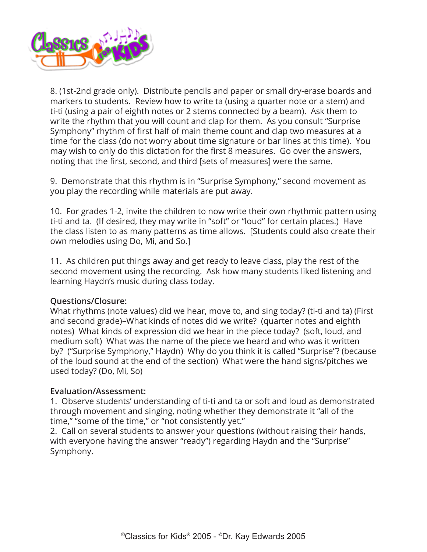

8. (1st-2nd grade only). Distribute pencils and paper or small dry-erase boards and markers to students. Review how to write ta (using a quarter note or a stem) and ti-ti (using a pair of eighth notes or 2 stems connected by a beam). Ask them to write the rhythm that you will count and clap for them. As you consult "Surprise Symphony" rhythm of first half of main theme count and clap two measures at a time for the class (do not worry about time signature or bar lines at this time). You may wish to only do this dictation for the first 8 measures. Go over the answers, noting that the first, second, and third [sets of measures] were the same.

9. Demonstrate that this rhythm is in "Surprise Symphony," second movement as you play the recording while materials are put away.

10. For grades 1-2, invite the children to now write their own rhythmic pattern using ti-ti and ta. (If desired, they may write in "soft" or "loud" for certain places.) Have the class listen to as many patterns as time allows. [Students could also create their own melodies using Do, Mi, and So.]

11. As children put things away and get ready to leave class, play the rest of the second movement using the recording. Ask how many students liked listening and learning Haydn's music during class today.

# **Questions/Closure:**

What rhythms (note values) did we hear, move to, and sing today? (ti-ti and ta) (First and second grade)–What kinds of notes did we write? (quarter notes and eighth notes) What kinds of expression did we hear in the piece today? (soft, loud, and medium soft) What was the name of the piece we heard and who was it written by? ("Surprise Symphony," Haydn) Why do you think it is called "Surprise"? (because of the loud sound at the end of the section) What were the hand signs/pitches we used today? (Do, Mi, So)

# **Evaluation/Assessment:**

1. Observe students' understanding of ti-ti and ta or soft and loud as demonstrated through movement and singing, noting whether they demonstrate it "all of the time," "some of the time," or "not consistently yet."

2. Call on several students to answer your questions (without raising their hands, with everyone having the answer "ready") regarding Haydn and the "Surprise" Symphony.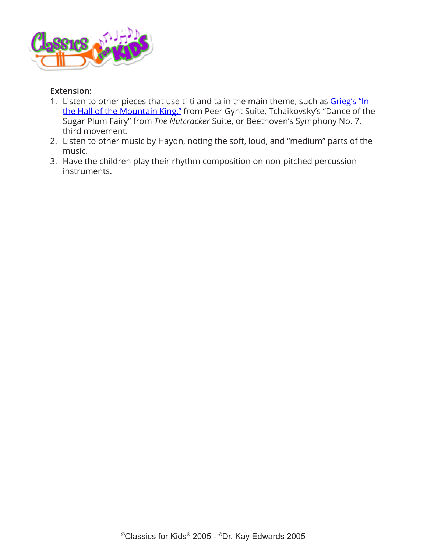

### **Extension:**

- 1. Listen to other pieces that use ti-ti and ta in the main theme, such as Grieg's "In [the Hall of the Mountain King,"](http://www.classicsforkids.com/composers/composer_profile.php?id=32) from Peer Gynt Suite, Tchaikovsky's "Dance of the Sugar Plum Fairy" from *The Nutcracker* Suite, or Beethoven's Symphony No. 7, third movement.
- 2. Listen to other music by Haydn, noting the soft, loud, and "medium" parts of the music.
- 3. Have the children play their rhythm composition on non-pitched percussion instruments.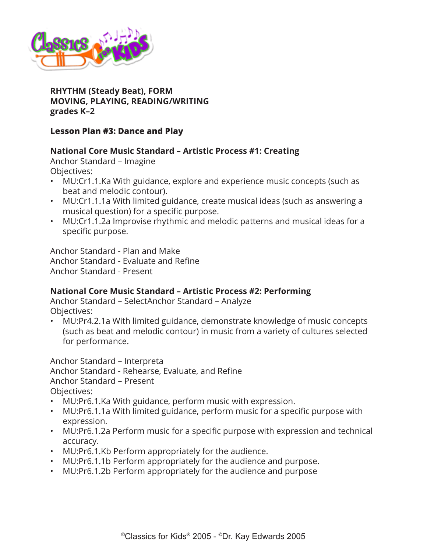

**RHYTHM (Steady Beat), FORM MOVING, PLAYING, READING/WRITING grades K–2**

# **Lesson Plan #3: Dance and Play**

# **National Core Music Standard – Artistic Process #1: Creating**

Anchor Standard – Imagine Objectives:

- MU:Cr1.1.Ka With guidance, explore and experience music concepts (such as beat and melodic contour).
- MU:Cr1.1.1a With limited guidance, create musical ideas (such as answering a musical question) for a specific purpose.
- MU:Cr1.1.2a Improvise rhythmic and melodic patterns and musical ideas for a specific purpose.

Anchor Standard - Plan and Make Anchor Standard - Evaluate and Refine Anchor Standard - Present

# **National Core Music Standard – Artistic Process #2: Performing**

Anchor Standard – SelectAnchor Standard – Analyze Objectives:

• MU:Pr4.2.1a With limited guidance, demonstrate knowledge of music concepts (such as beat and melodic contour) in music from a variety of cultures selected for performance.

Anchor Standard – Interpreta Anchor Standard - Rehearse, Evaluate, and Refine Anchor Standard – Present Objectives:

- MU:Pr6.1.Ka With guidance, perform music with expression.
- MU:Pr6.1.1a With limited guidance, perform music for a specific purpose with expression.
- MU:Pr6.1.2a Perform music for a specific purpose with expression and technical accuracy.
- MU:Pr6.1.Kb Perform appropriately for the audience.
- MU:Pr6.1.1b Perform appropriately for the audience and purpose.
- MU:Pr6.1.2b Perform appropriately for the audience and purpose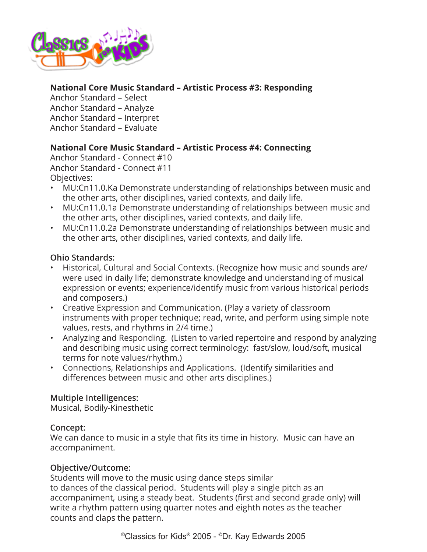

# **National Core Music Standard – Artistic Process #3: Responding**

Anchor Standard – Select Anchor Standard – Analyze Anchor Standard – Interpret Anchor Standard – Evaluate

# **National Core Music Standard – Artistic Process #4: Connecting**

Anchor Standard - Connect #10 Anchor Standard - Connect #11 Objectives:

- MU:Cn11.0.Ka Demonstrate understanding of relationships between music and the other arts, other disciplines, varied contexts, and daily life.
- MU:Cn11.0.1a Demonstrate understanding of relationships between music and the other arts, other disciplines, varied contexts, and daily life.
- MU:Cn11.0.2a Demonstrate understanding of relationships between music and the other arts, other disciplines, varied contexts, and daily life.

# **Ohio Standards:**

- Historical, Cultural and Social Contexts. (Recognize how music and sounds are/ were used in daily life; demonstrate knowledge and understanding of musical expression or events; experience/identify music from various historical periods and composers.)
- Creative Expression and Communication. (Play a variety of classroom instruments with proper technique; read, write, and perform using simple note values, rests, and rhythms in 2/4 time.)
- Analyzing and Responding. (Listen to varied repertoire and respond by analyzing and describing music using correct terminology: fast/slow, loud/soft, musical terms for note values/rhythm.)
- Connections, Relationships and Applications. (Identify similarities and differences between music and other arts disciplines.)

# **Multiple Intelligences:**

Musical, Bodily-Kinesthetic

### **Concept:**

We can dance to music in a style that fits its time in history. Music can have an accompaniment.

# **Objective/Outcome:**

Students will move to the music using dance steps similar to dances of the classical period. Students will play a single pitch as an accompaniment, using a steady beat. Students (first and second grade only) will write a rhythm pattern using quarter notes and eighth notes as the teacher counts and claps the pattern.

©Classics for Kids® 2005 - ©Dr. Kay Edwards 2005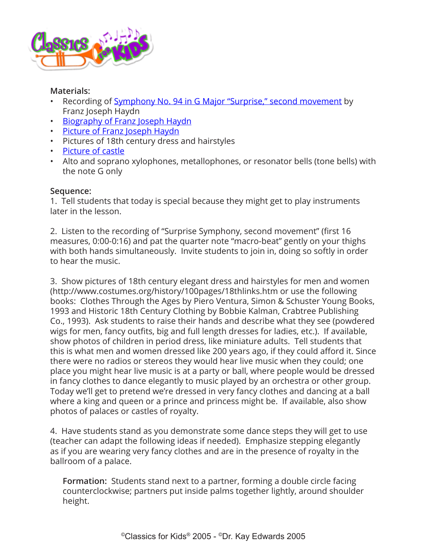

### **Materials:**

- Recording of [Symphony No. 94 in G Major "Surprise," second movement](http://www.classicsforkids.com/composers/composer_profile.php?id=36) by Franz Joseph Haydn
- [Biography of Franz Joseph Haydn](http://www.classicsforkids.com/composers/composer_profile.php?id=36)
- [Picture of Franz Joseph Haydn](http://www.classicsforkids.com/composers/composer_profile.php?id=36)
- Pictures of 18th century dress and hairstyles
- [Picture of castle](http://www.classicsforkids.com/downloads/Castle.pdf)
- Alto and soprano xylophones, metallophones, or resonator bells (tone bells) with the note G only

### **Sequence:**

1. Tell students that today is special because they might get to play instruments later in the lesson.

2. Listen to the recording of "Surprise Symphony, second movement" (first 16 measures, 0:00-0:16) and pat the quarter note "macro-beat" gently on your thighs with both hands simultaneously. Invite students to join in, doing so softly in order to hear the music.

3. Show pictures of 18th century elegant dress and hairstyles for men and women (http://www.costumes.org/history/100pages/18thlinks.htm or use the following books: Clothes Through the Ages by Piero Ventura, Simon & Schuster Young Books, 1993 and Historic 18th Century Clothing by Bobbie Kalman, Crabtree Publishing Co., 1993). Ask students to raise their hands and describe what they see (powdered wigs for men, fancy outfits, big and full length dresses for ladies, etc.). If available, show photos of children in period dress, like miniature adults. Tell students that this is what men and women dressed like 200 years ago, if they could afford it. Since there were no radios or stereos they would hear live music when they could; one place you might hear live music is at a party or ball, where people would be dressed in fancy clothes to dance elegantly to music played by an orchestra or other group. Today we'll get to pretend we're dressed in very fancy clothes and dancing at a ball where a king and queen or a prince and princess might be. If available, also show photos of palaces or castles of royalty.

4. Have students stand as you demonstrate some dance steps they will get to use (teacher can adapt the following ideas if needed). Emphasize stepping elegantly as if you are wearing very fancy clothes and are in the presence of royalty in the ballroom of a palace.

**Formation:** Students stand next to a partner, forming a double circle facing counterclockwise; partners put inside palms together lightly, around shoulder height.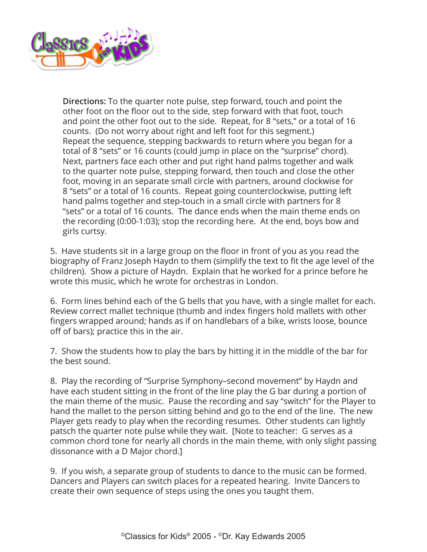

**Directions:** To the quarter note pulse, step forward, touch and point the other foot on the floor out to the side, step forward with that foot, touch and point the other foot out to the side. Repeat, for 8 "sets," or a total of 16 counts. (Do not worry about right and left foot for this segment.) Repeat the sequence, stepping backwards to return where you began for a total of 8 "sets" or 16 counts (could jump in place on the "surprise" chord). Next, partners face each other and put right hand palms together and walk to the quarter note pulse, stepping forward, then touch and close the other foot, moving in an separate small circle with partners, around clockwise for 8 "sets" or a total of 16 counts. Repeat going counterclockwise, putting left hand palms together and step-touch in a small circle with partners for 8 "sets" or a total of 16 counts. The dance ends when the main theme ends on the recording (0:00-1:03); stop the recording here. At the end, boys bow and girls curtsy.

5. Have students sit in a large group on the floor in front of you as you read the biography of Franz Joseph Haydn to them (simplify the text to fit the age level of the children). Show a picture of Haydn. Explain that he worked for a prince before he wrote this music, which he wrote for orchestras in London.

6. Form lines behind each of the G bells that you have, with a single mallet for each. Review correct mallet technique (thumb and index fingers hold mallets with other fingers wrapped around; hands as if on handlebars of a bike, wrists loose, bounce off of bars); practice this in the air.

7. Show the students how to play the bars by hitting it in the middle of the bar for the best sound.

8. Play the recording of "Surprise Symphony–second movement" by Haydn and have each student sitting in the front of the line play the G bar during a portion of the main theme of the music. Pause the recording and say "switch" for the Player to hand the mallet to the person sitting behind and go to the end of the line. The new Player gets ready to play when the recording resumes. Other students can lightly patsch the quarter note pulse while they wait. [Note to teacher: G serves as a common chord tone for nearly all chords in the main theme, with only slight passing dissonance with a D Major chord.]

9. If you wish, a separate group of students to dance to the music can be formed. Dancers and Players can switch places for a repeated hearing. Invite Dancers to create their own sequence of steps using the ones you taught them.